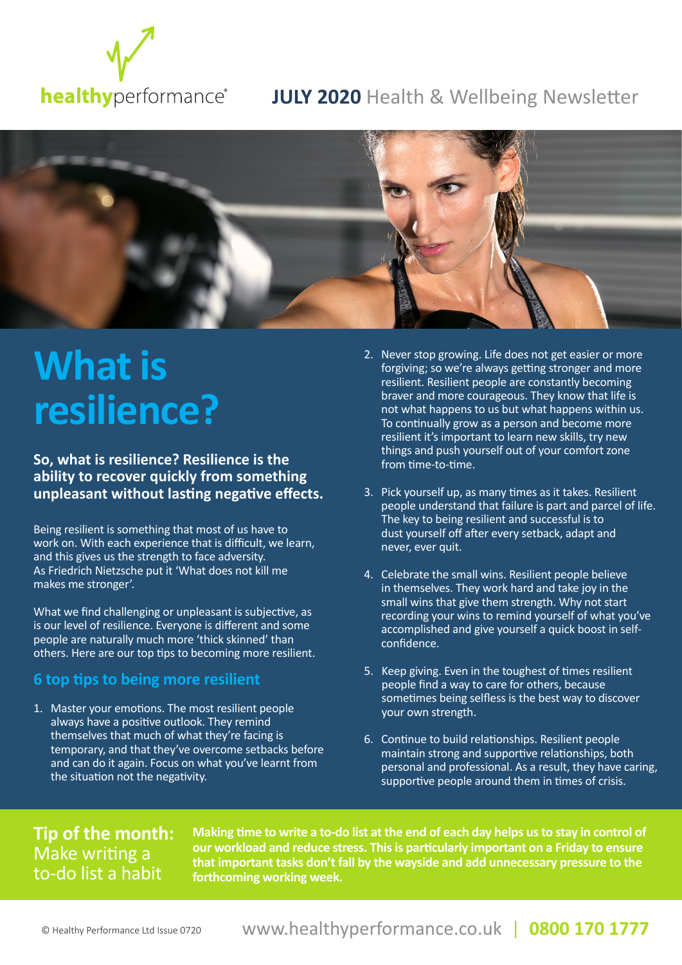

#### **JULY 2020** Health & Wellbeing Newsletter



## **What is resilience?**

**So, what is resilience? Resilience is the ability to recover quickly from something unpleasant without lasting negative effects.** 

Being resilient is something that most of us have to work on. With each experience that is difficult, we learn, and this gives us the strength to face adversity. As Friedrich Nietzsche put it 'What does not kill me makes me stronger'.

What we find challenging or unpleasant is subjective, as is our level of resilience. Everyone is different and some people are naturally much more 'thick skinned' than others. Here are our top tips to becoming more resilient.

#### **6 top tips to being more resilient**

1. Master your emotions. The most resilient people always have a positive outlook. They remind themselves that much of what they're facing is temporary, and that they've overcome setbacks before and can do it again. Focus on what you've learnt from the situation not the negativity.

- 2. Never stop growing. Life does not get easier or more forgiving; so we're always getting stronger and more resilient. Resilient people are constantly becoming braver and more courageous. They know that life is not what happens to us but what happens within us. To continually grow as a person and become more resilient it's important to learn new skills, try new things and push yourself out of your comfort zone from time-to-time.
- 3. Pick yourself up, as many times as it takes. Resilient people understand that failure is part and parcel of life. The key to being resilient and successful is to dust yourself off after every setback, adapt and never, ever quit.
- 4. Celebrate the small wins. Resilient people believe in themselves. They work hard and take joy in the small wins that give them strength. Why not start recording your wins to remind yourself of what you've accomplished and give yourself a quick boost in selfconfidence.
- 5. Keep giving. Even in the toughest of times resilient people find a way to care for others, because sometimes being selfless is the best way to discover your own strength.
- 6. Continue to build relationships. Resilient people maintain strong and supportive relationships, both personal and professional. As a result, they have caring, supportive people around them in times of crisis.

#### **Tip of the month:**  Make writing a to-do list a habit

**Making time to write a to-do list at the end of each day helps us to stay in control of our workload and reduce stress. This is particularly important on a Friday to ensure that important tasks don't fall by the wayside and add unnecessary pressure to the forthcoming working week.**